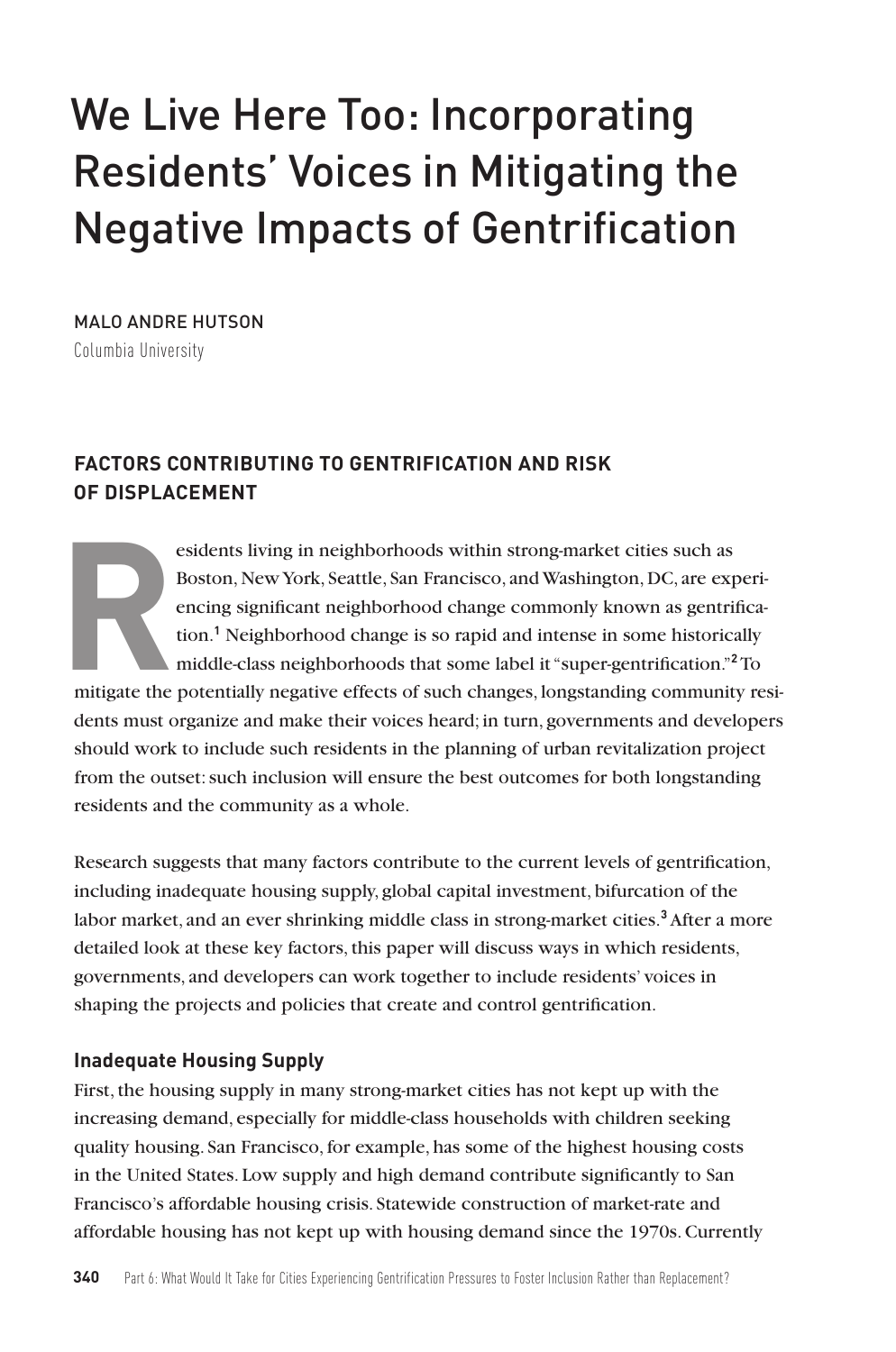# We Live Here Too: Incorporating Residents' Voices in Mitigating the Negative Impacts of Gentrification

MALO ANDRE HUTSON Columbia University

# **FACTORS CONTRIBUTING TO GENTRIFICATION AND RISK OF DISPLACEMENT**

esidents living in neighborhoods within strong-market cities such as<br>Boston, New York, Seattle, San Francisco, and Washington, DC, are exp<br>encing significant neighborhood change commonly known as gentrii<br>tion.<sup>1</sup> Neighborh Boston, New York, Seattle, San Francisco, and Washington, DC, are experiencing significant neighborhood change commonly known as gentrification.**<sup>1</sup>** Neighborhood change is so rapid and intense in some historically middle-class neighborhoods that some label it "super-gentrification."**<sup>2</sup>**To mitigate the potentially negative effects of such changes, longstanding community residents must organize and make their voices heard; in turn, governments and developers should work to include such residents in the planning of urban revitalization project from the outset: such inclusion will ensure the best outcomes for both longstanding residents and the community as a whole.

Research suggests that many factors contribute to the current levels of gentrification, including inadequate housing supply, global capital investment, bifurcation of the labor market, and an ever shrinking middle class in strong-market cities.**<sup>3</sup>** After a more detailed look at these key factors, this paper will discuss ways in which residents, governments, and developers can work together to include residents' voices in shaping the projects and policies that create and control gentrification.

### **Inadequate Housing Supply**

First, the housing supply in many strong-market cities has not kept up with the increasing demand, especially for middle-class households with children seeking quality housing. San Francisco, for example, has some of the highest housing costs in the United States. Low supply and high demand contribute significantly to San Francisco's affordable housing crisis. Statewide construction of market-rate and affordable housing has not kept up with housing demand since the 1970s. Currently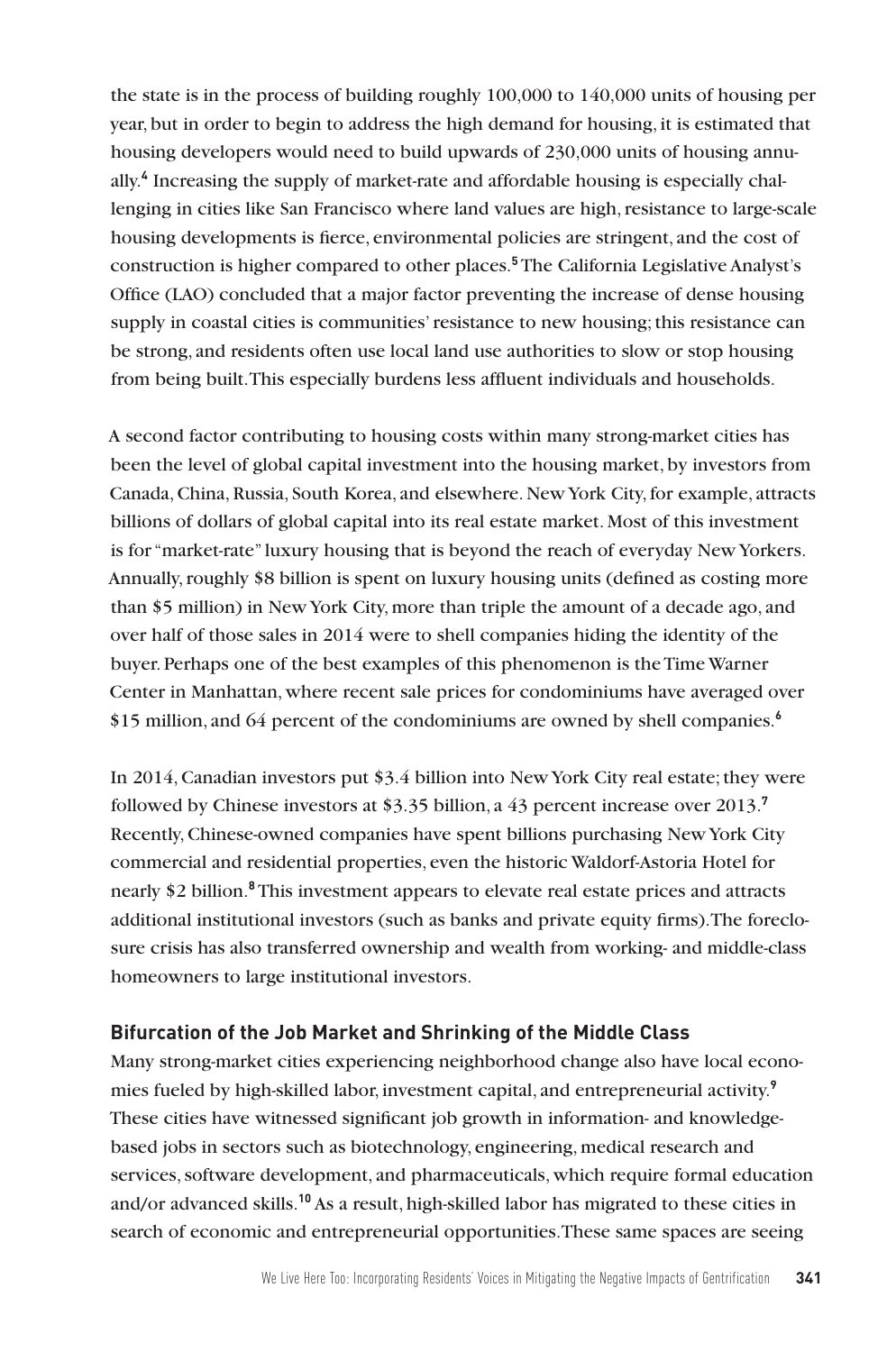the state is in the process of building roughly 100,000 to 140,000 units of housing per year, but in order to begin to address the high demand for housing, it is estimated that housing developers would need to build upwards of 230,000 units of housing annually.**<sup>4</sup>** Increasing the supply of market-rate and affordable housing is especially challenging in cities like San Francisco where land values are high, resistance to large-scale housing developments is fierce, environmental policies are stringent, and the cost of construction is higher compared to other places.**<sup>5</sup>** The California Legislative Analyst's Office (LAO) concluded that a major factor preventing the increase of dense housing supply in coastal cities is communities' resistance to new housing; this resistance can be strong, and residents often use local land use authorities to slow or stop housing from being built. This especially burdens less affluent individuals and households.

A second factor contributing to housing costs within many strong-market cities has been the level of global capital investment into the housing market, by investors from Canada, China, Russia, South Korea, and elsewhere. New York City, for example, attracts billions of dollars of global capital into its real estate market. Most of this investment is for "market-rate" luxury housing that is beyond the reach of everyday New Yorkers. Annually, roughly \$8 billion is spent on luxury housing units (defined as costing more than \$5 million) in New York City, more than triple the amount of a decade ago, and over half of those sales in 2014 were to shell companies hiding the identity of the buyer. Perhaps one of the best examples of this phenomenon is the Time Warner Center in Manhattan, where recent sale prices for condominiums have averaged over \$15 million, and 64 percent of the condominiums are owned by shell companies.**<sup>6</sup>**

In 2014, Canadian investors put \$3.4 billion into New York City real estate; they were followed by Chinese investors at \$3.35 billion, a 43 percent increase over 2013.**<sup>7</sup>** Recently, Chinese-owned companies have spent billions purchasing New York City commercial and residential properties, even the historic Waldorf-Astoria Hotel for nearly \$2 billion.**<sup>8</sup>** This investment appears to elevate real estate prices and attracts additional institutional investors (such as banks and private equity firms). The foreclosure crisis has also transferred ownership and wealth from working- and middle-class homeowners to large institutional investors.

### **Bifurcation of the Job Market and Shrinking of the Middle Class**

Many strong-market cities experiencing neighborhood change also have local economies fueled by high-skilled labor, investment capital, and entrepreneurial activity.**<sup>9</sup>** These cities have witnessed significant job growth in information- and knowledgebased jobs in sectors such as biotechnology, engineering, medical research and services, software development, and pharmaceuticals, which require formal education and/or advanced skills.**<sup>10</sup>** As a result, high-skilled labor has migrated to these cities in search of economic and entrepreneurial opportunities. These same spaces are seeing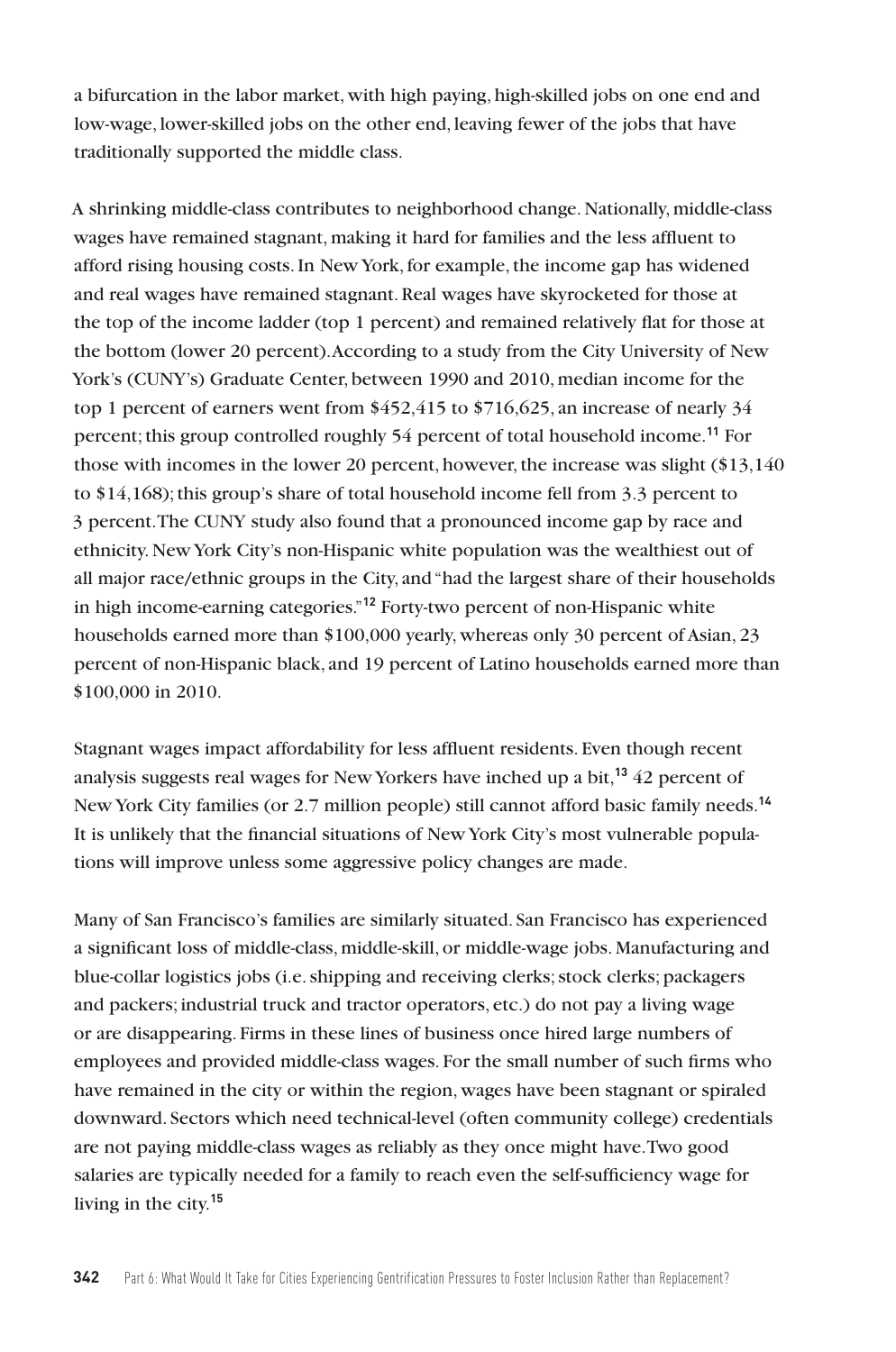a bifurcation in the labor market, with high paying, high-skilled jobs on one end and low-wage, lower-skilled jobs on the other end, leaving fewer of the jobs that have traditionally supported the middle class.

A shrinking middle-class contributes to neighborhood change. Nationally, middle-class wages have remained stagnant, making it hard for families and the less affluent to afford rising housing costs. In New York, for example, the income gap has widened and real wages have remained stagnant. Real wages have skyrocketed for those at the top of the income ladder (top 1 percent) and remained relatively flat for those at the bottom (lower 20 percent). According to a study from the City University of New York's (CUNY's) Graduate Center, between 1990 and 2010, median income for the top 1 percent of earners went from \$452,415 to \$716,625, an increase of nearly 34 percent; this group controlled roughly 54 percent of total household income.**<sup>11</sup>** For those with incomes in the lower 20 percent, however, the increase was slight (\$13,140 to \$14,168); this group's share of total household income fell from 3.3 percent to 3 percent. The CUNY study also found that a pronounced income gap by race and ethnicity. New York City's non-Hispanic white population was the wealthiest out of all major race/ethnic groups in the City, and "had the largest share of their households in high income-earning categories."**<sup>12</sup>** Forty-two percent of non-Hispanic white households earned more than \$100,000 yearly, whereas only 30 percent of Asian, 23 percent of non-Hispanic black, and 19 percent of Latino households earned more than \$100,000 in 2010.

Stagnant wages impact affordability for less affluent residents. Even though recent analysis suggests real wages for New Yorkers have inched up a bit,**<sup>13</sup>** 42 percent of New York City families (or 2.7 million people) still cannot afford basic family needs.**<sup>14</sup>** It is unlikely that the financial situations of New York City's most vulnerable populations will improve unless some aggressive policy changes are made.

Many of San Francisco's families are similarly situated. San Francisco has experienced a significant loss of middle-class, middle-skill, or middle-wage jobs. Manufacturing and blue-collar logistics jobs (i.e. shipping and receiving clerks; stock clerks; packagers and packers; industrial truck and tractor operators, etc.) do not pay a living wage or are disappearing. Firms in these lines of business once hired large numbers of employees and provided middle-class wages. For the small number of such firms who have remained in the city or within the region, wages have been stagnant or spiraled downward. Sectors which need technical-level (often community college) credentials are not paying middle-class wages as reliably as they once might have. Two good salaries are typically needed for a family to reach even the self-sufficiency wage for living in the city.**15**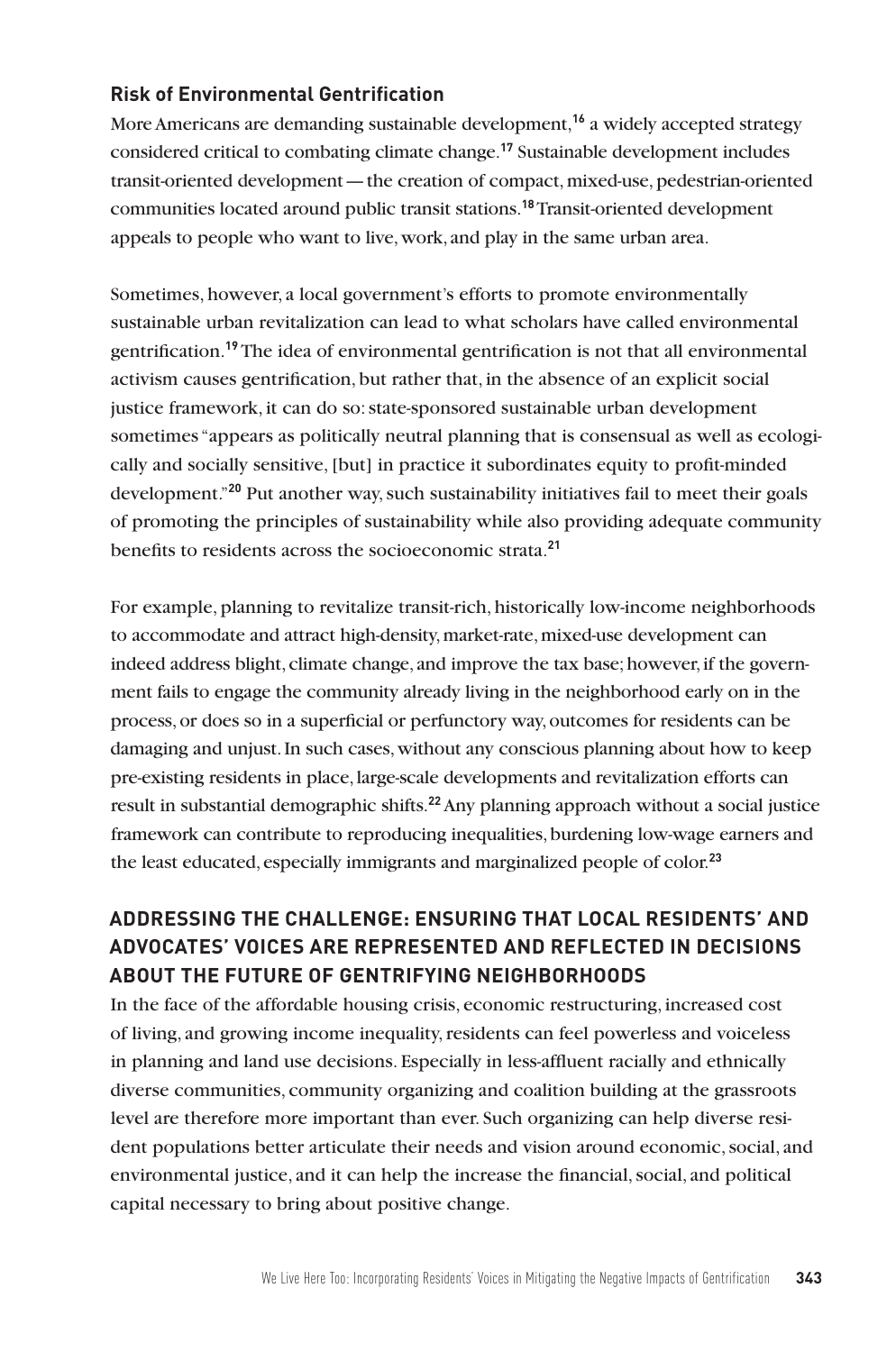## **Risk of Environmental Gentrification**

More Americans are demanding sustainable development,**<sup>16</sup>** a widely accepted strategy considered critical to combating climate change.**<sup>17</sup>** Sustainable development includes transit-oriented development—the creation of compact, mixed-use, pedestrian-oriented communities located around public transit stations.**<sup>18</sup>** Transit-oriented development appeals to people who want to live, work, and play in the same urban area.

Sometimes, however, a local government's efforts to promote environmentally sustainable urban revitalization can lead to what scholars have called environmental gentrification.**<sup>19</sup>** The idea of environmental gentrification is not that all environmental activism causes gentrification, but rather that, in the absence of an explicit social justice framework, it can do so: state-sponsored sustainable urban development sometimes "appears as politically neutral planning that is consensual as well as ecologically and socially sensitive, [but] in practice it subordinates equity to profit-minded development."**<sup>20</sup>** Put another way, such sustainability initiatives fail to meet their goals of promoting the principles of sustainability while also providing adequate community benefits to residents across the socioeconomic strata.**<sup>21</sup>**

For example, planning to revitalize transit-rich, historically low-income neighborhoods to accommodate and attract high-density, market-rate, mixed-use development can indeed address blight, climate change, and improve the tax base; however, if the government fails to engage the community already living in the neighborhood early on in the process, or does so in a superficial or perfunctory way, outcomes for residents can be damaging and unjust. In such cases, without any conscious planning about how to keep pre-existing residents in place, large-scale developments and revitalization efforts can result in substantial demographic shifts.**<sup>22</sup>** Any planning approach without a social justice framework can contribute to reproducing inequalities, burdening low-wage earners and the least educated, especially immigrants and marginalized people of color.**<sup>23</sup>**

# **ADDRESSING THE CHALLENGE: ENSURING THAT LOCAL RESIDENTS' AND ADVOCATES' VOICES ARE REPRESENTED AND REFLECTED IN DECISIONS ABOUT THE FUTURE OF GENTRIFYING NEIGHBORHOODS**

In the face of the affordable housing crisis, economic restructuring, increased cost of living, and growing income inequality, residents can feel powerless and voiceless in planning and land use decisions. Especially in less-affluent racially and ethnically diverse communities, community organizing and coalition building at the grassroots level are therefore more important than ever. Such organizing can help diverse resident populations better articulate their needs and vision around economic, social, and environmental justice, and it can help the increase the financial, social, and political capital necessary to bring about positive change.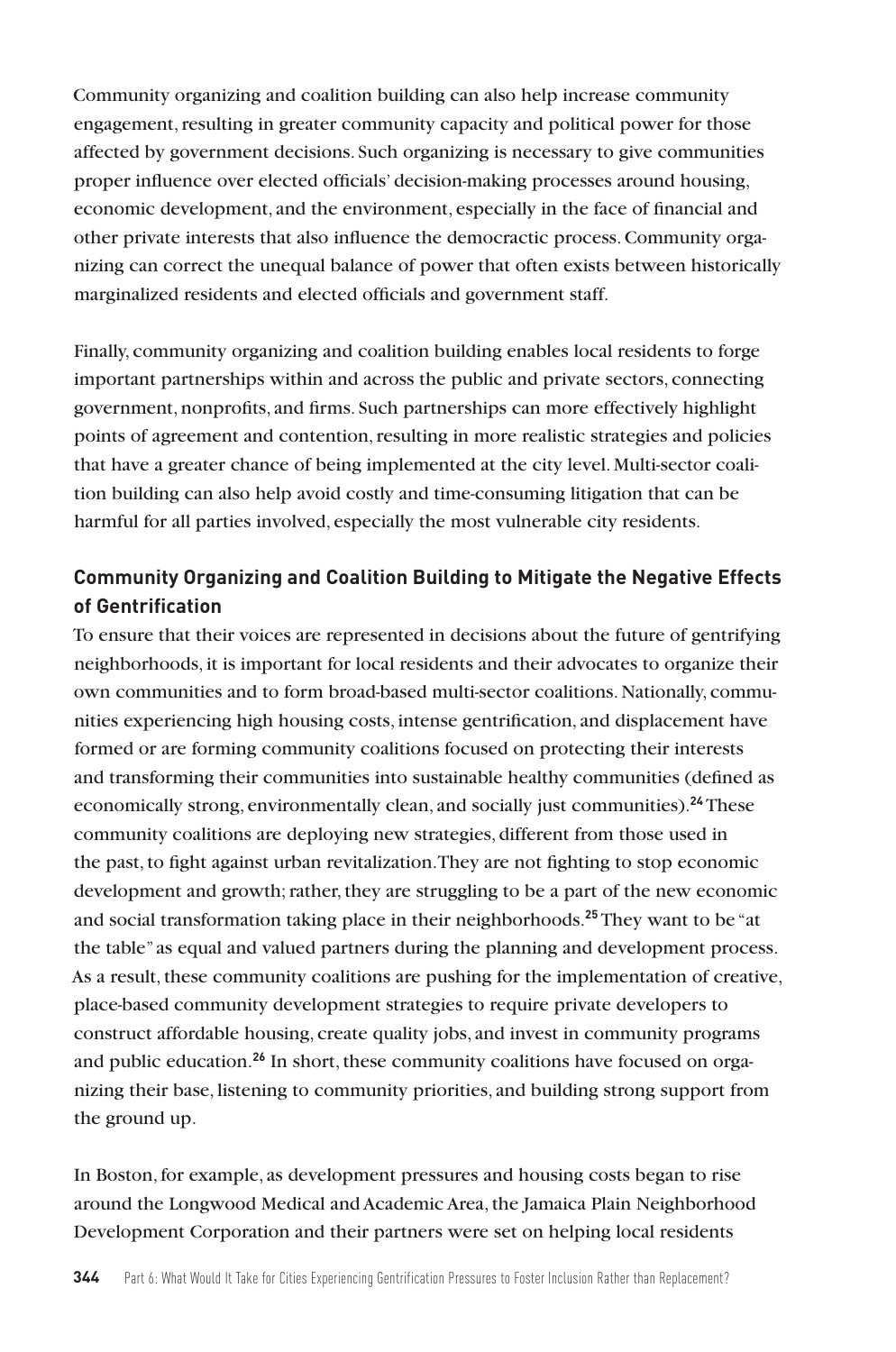Community organizing and coalition building can also help increase community engagement, resulting in greater community capacity and political power for those affected by government decisions. Such organizing is necessary to give communities proper influence over elected officials' decision-making processes around housing, economic development, and the environment, especially in the face of financial and other private interests that also influence the democractic process. Community organizing can correct the unequal balance of power that often exists between historically marginalized residents and elected officials and government staff.

Finally, community organizing and coalition building enables local residents to forge important partnerships within and across the public and private sectors, connecting government, nonprofits, and firms. Such partnerships can more effectively highlight points of agreement and contention, resulting in more realistic strategies and policies that have a greater chance of being implemented at the city level. Multi-sector coalition building can also help avoid costly and time-consuming litigation that can be harmful for all parties involved, especially the most vulnerable city residents.

# **Community Organizing and Coalition Building to Mitigate the Negative Effects of Gentrification**

To ensure that their voices are represented in decisions about the future of gentrifying neighborhoods, it is important for local residents and their advocates to organize their own communities and to form broad-based multi-sector coalitions. Nationally, communities experiencing high housing costs, intense gentrification, and displacement have formed or are forming community coalitions focused on protecting their interests and transforming their communities into sustainable healthy communities (defined as economically strong, environmentally clean, and socially just communities).**<sup>24</sup>** These community coalitions are deploying new strategies, different from those used in the past, to fight against urban revitalization. They are not fighting to stop economic development and growth; rather, they are struggling to be a part of the new economic and social transformation taking place in their neighborhoods.**<sup>25</sup>** They want to be "at the table" as equal and valued partners during the planning and development process. As a result, these community coalitions are pushing for the implementation of creative, place-based community development strategies to require private developers to construct affordable housing, create quality jobs, and invest in community programs and public education.**26** In short, these community coalitions have focused on organizing their base, listening to community priorities, and building strong support from the ground up.

In Boston, for example, as development pressures and housing costs began to rise around the Longwood Medical and Academic Area, the Jamaica Plain Neighborhood Development Corporation and their partners were set on helping local residents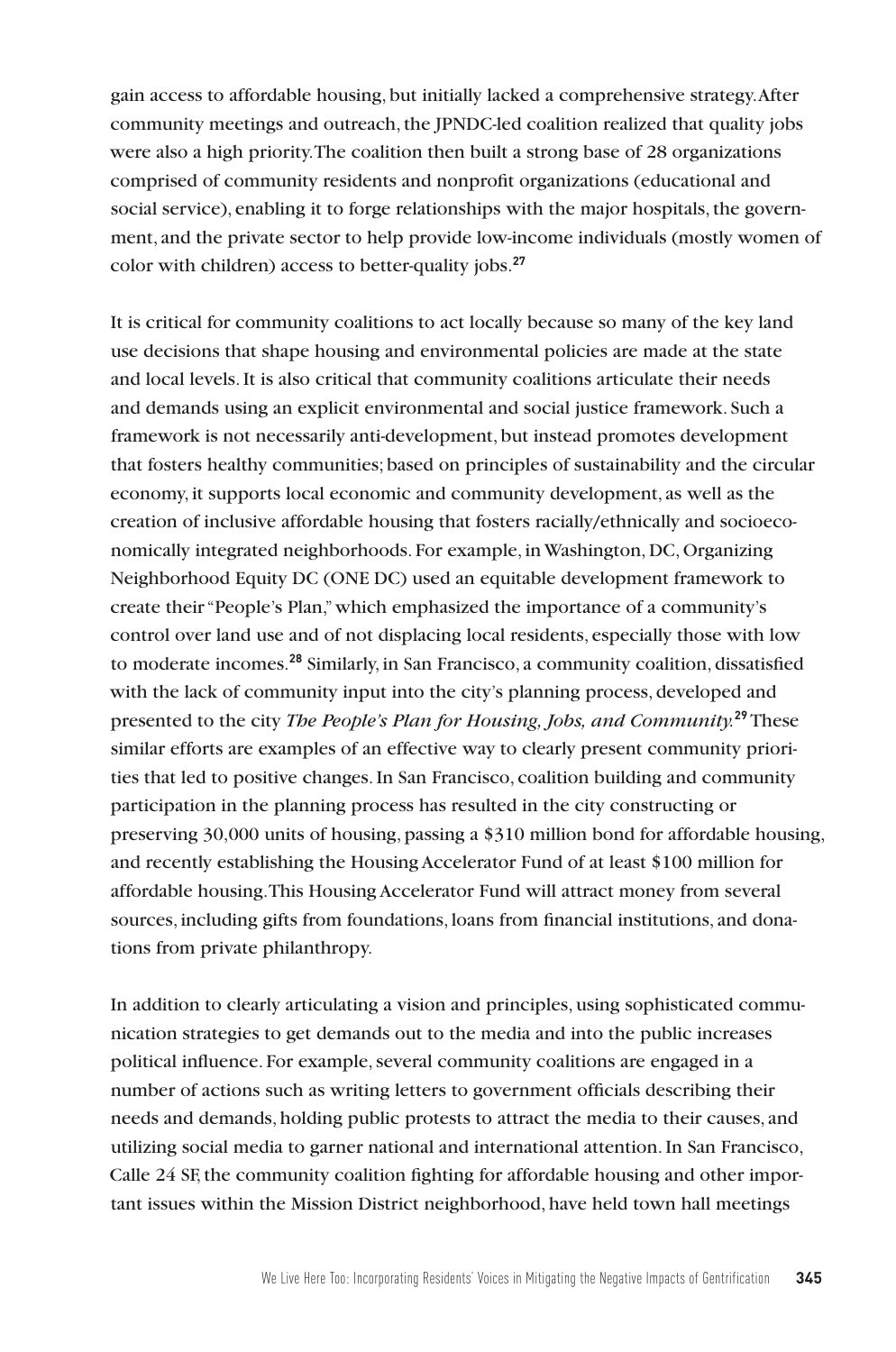gain access to affordable housing, but initially lacked a comprehensive strategy. After community meetings and outreach, the JPNDC-led coalition realized that quality jobs were also a high priority. The coalition then built a strong base of 28 organizations comprised of community residents and nonprofit organizations (educational and social service), enabling it to forge relationships with the major hospitals, the government, and the private sector to help provide low-income individuals (mostly women of color with children) access to better-quality jobs.**<sup>27</sup>**

It is critical for community coalitions to act locally because so many of the key land use decisions that shape housing and environmental policies are made at the state and local levels. It is also critical that community coalitions articulate their needs and demands using an explicit environmental and social justice framework. Such a framework is not necessarily anti-development, but instead promotes development that fosters healthy communities; based on principles of sustainability and the circular economy, it supports local economic and community development, as well as the creation of inclusive affordable housing that fosters racially/ethnically and socioeconomically integrated neighborhoods. For example, in Washington, DC, Organizing Neighborhood Equity DC (ONE DC) used an equitable development framework to create their "People's Plan," which emphasized the importance of a community's control over land use and of not displacing local residents, especially those with low to moderate incomes.**<sup>28</sup>** Similarly, in San Francisco, a community coalition, dissatisfied with the lack of community input into the city's planning process, developed and presented to the city *The People's Plan for Housing, Jobs, and Community.***<sup>29</sup>** These similar efforts are examples of an effective way to clearly present community priorities that led to positive changes. In San Francisco, coalition building and community participation in the planning process has resulted in the city constructing or preserving 30,000 units of housing, passing a \$310 million bond for affordable housing, and recently establishing the Housing Accelerator Fund of at least \$100 million for affordable housing. This Housing Accelerator Fund will attract money from several sources, including gifts from foundations, loans from financial institutions, and donations from private philanthropy.

In addition to clearly articulating a vision and principles, using sophisticated communication strategies to get demands out to the media and into the public increases political influence. For example, several community coalitions are engaged in a number of actions such as writing letters to government officials describing their needs and demands, holding public protests to attract the media to their causes, and utilizing social media to garner national and international attention. In San Francisco, Calle 24 SF, the community coalition fighting for affordable housing and other important issues within the Mission District neighborhood, have held town hall meetings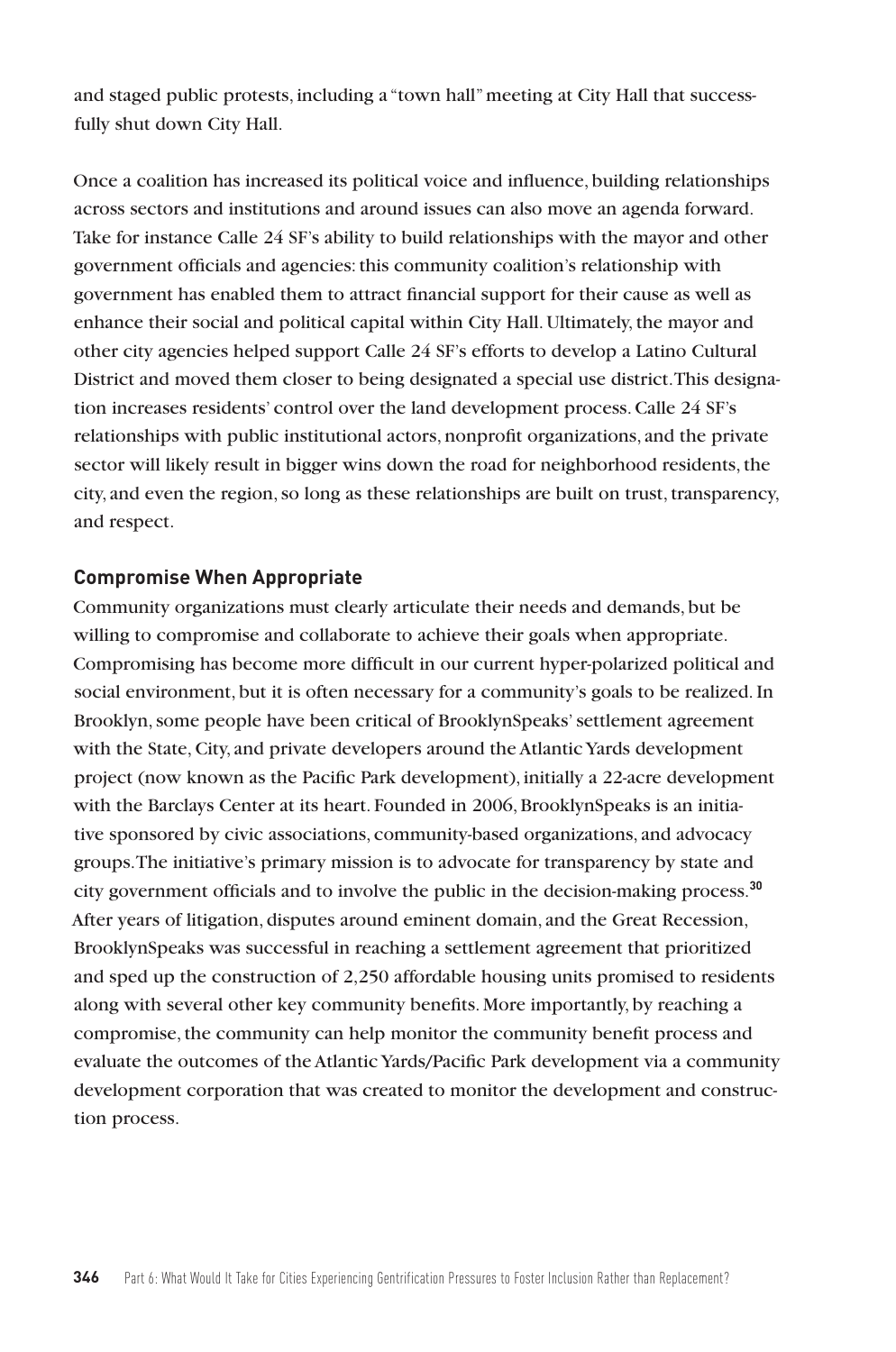and staged public protests, including a "town hall" meeting at City Hall that successfully shut down City Hall.

Once a coalition has increased its political voice and influence, building relationships across sectors and institutions and around issues can also move an agenda forward. Take for instance Calle 24 SF's ability to build relationships with the mayor and other government officials and agencies: this community coalition's relationship with government has enabled them to attract financial support for their cause as well as enhance their social and political capital within City Hall. Ultimately, the mayor and other city agencies helped support Calle 24 SF's efforts to develop a Latino Cultural District and moved them closer to being designated a special use district. This designation increases residents' control over the land development process. Calle 24 SF's relationships with public institutional actors, nonprofit organizations, and the private sector will likely result in bigger wins down the road for neighborhood residents, the city, and even the region, so long as these relationships are built on trust, transparency, and respect.

#### **Compromise When Appropriate**

Community organizations must clearly articulate their needs and demands, but be willing to compromise and collaborate to achieve their goals when appropriate. Compromising has become more difficult in our current hyper-polarized political and social environment, but it is often necessary for a community's goals to be realized. In Brooklyn, some people have been critical of BrooklynSpeaks' settlement agreement with the State, City, and private developers around the Atlantic Yards development project (now known as the Pacific Park development), initially a 22-acre development with the Barclays Center at its heart. Founded in 2006, BrooklynSpeaks is an initiative sponsored by civic associations, community-based organizations, and advocacy groups. The initiative's primary mission is to advocate for transparency by state and city government officials and to involve the public in the decision-making process.**<sup>30</sup>** After years of litigation, disputes around eminent domain, and the Great Recession, BrooklynSpeaks was successful in reaching a settlement agreement that prioritized and sped up the construction of 2,250 affordable housing units promised to residents along with several other key community benefits. More importantly, by reaching a compromise, the community can help monitor the community benefit process and evaluate the outcomes of the Atlantic Yards/Pacific Park development via a community development corporation that was created to monitor the development and construction process.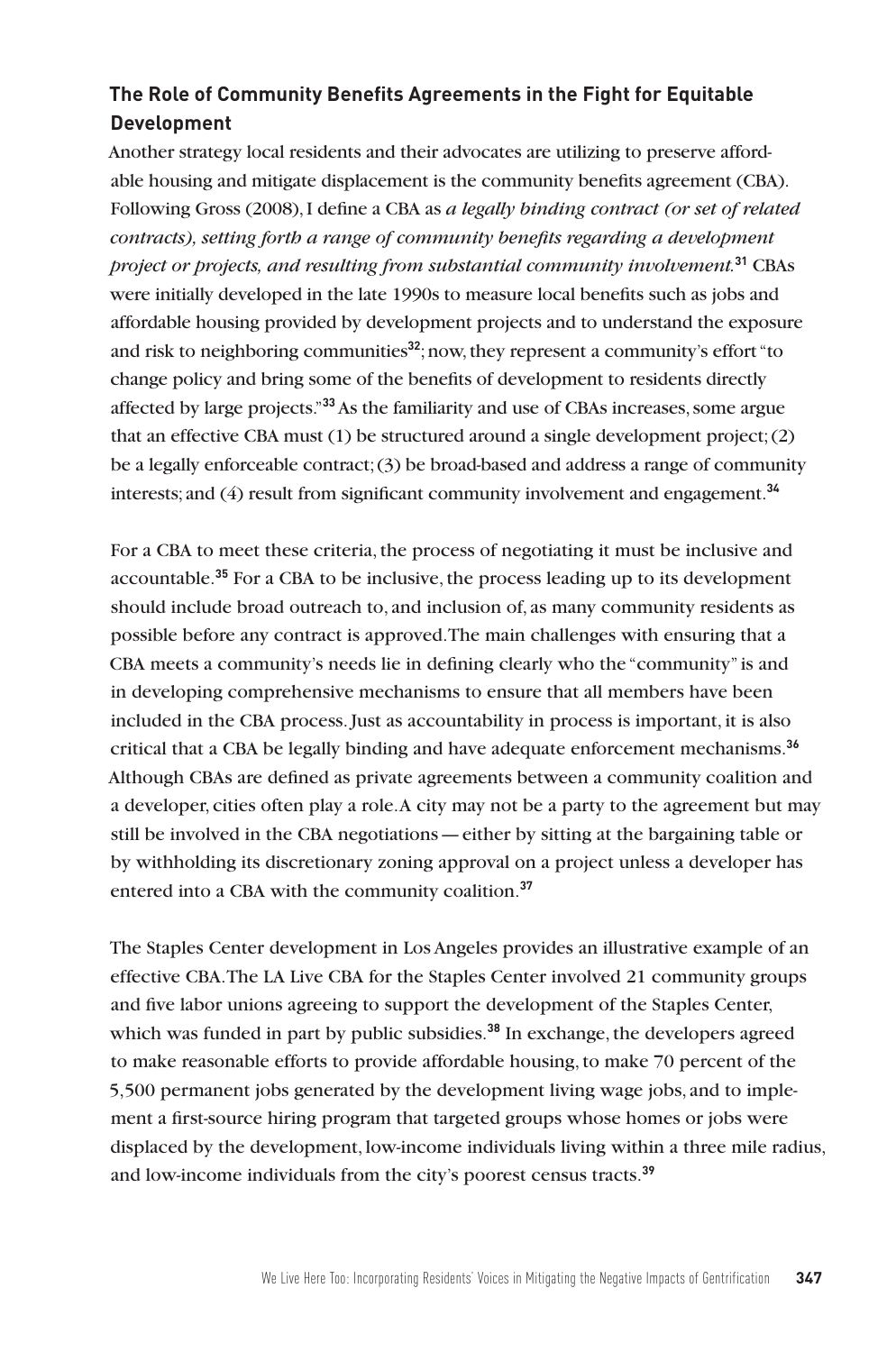# **The Role of Community Benefits Agreements in the Fight for Equitable Development**

Another strategy local residents and their advocates are utilizing to preserve affordable housing and mitigate displacement is the community benefits agreement (CBA). Following Gross (2008), I define a CBA as *a legally binding contract (or set of related contracts), setting forth a range of community benefits regarding a development project or projects, and resulting from substantial community involvement.***<sup>31</sup>** CBAs were initially developed in the late 1990s to measure local benefits such as jobs and affordable housing provided by development projects and to understand the exposure and risk to neighboring communities**<sup>32</sup>**; now, they represent a community's effort "to change policy and bring some of the benefits of development to residents directly affected by large projects."**<sup>33</sup>** As the familiarity and use of CBAs increases, some argue that an effective CBA must (1) be structured around a single development project; (2) be a legally enforceable contract; (3) be broad-based and address a range of community interests; and (4) result from significant community involvement and engagement.**<sup>34</sup>**

For a CBA to meet these criteria, the process of negotiating it must be inclusive and accountable.**<sup>35</sup>** For a CBA to be inclusive, the process leading up to its development should include broad outreach to, and inclusion of, as many community residents as possible before any contract is approved. The main challenges with ensuring that a CBA meets a community's needs lie in defining clearly who the "community" is and in developing comprehensive mechanisms to ensure that all members have been included in the CBA process. Just as accountability in process is important, it is also critical that a CBA be legally binding and have adequate enforcement mechanisms.**<sup>36</sup>** Although CBAs are defined as private agreements between a community coalition and a developer, cities often play a role. A city may not be a party to the agreement but may still be involved in the CBA negotiations—either by sitting at the bargaining table or by withholding its discretionary zoning approval on a project unless a developer has entered into a CBA with the community coalition.**<sup>37</sup>**

The Staples Center development in Los Angeles provides an illustrative example of an effective CBA. The LA Live CBA for the Staples Center involved 21 community groups and five labor unions agreeing to support the development of the Staples Center, which was funded in part by public subsidies.<sup>38</sup> In exchange, the developers agreed to make reasonable efforts to provide affordable housing, to make 70 percent of the 5,500 permanent jobs generated by the development living wage jobs, and to implement a first-source hiring program that targeted groups whose homes or jobs were displaced by the development, low-income individuals living within a three mile radius, and low-income individuals from the city's poorest census tracts.**39**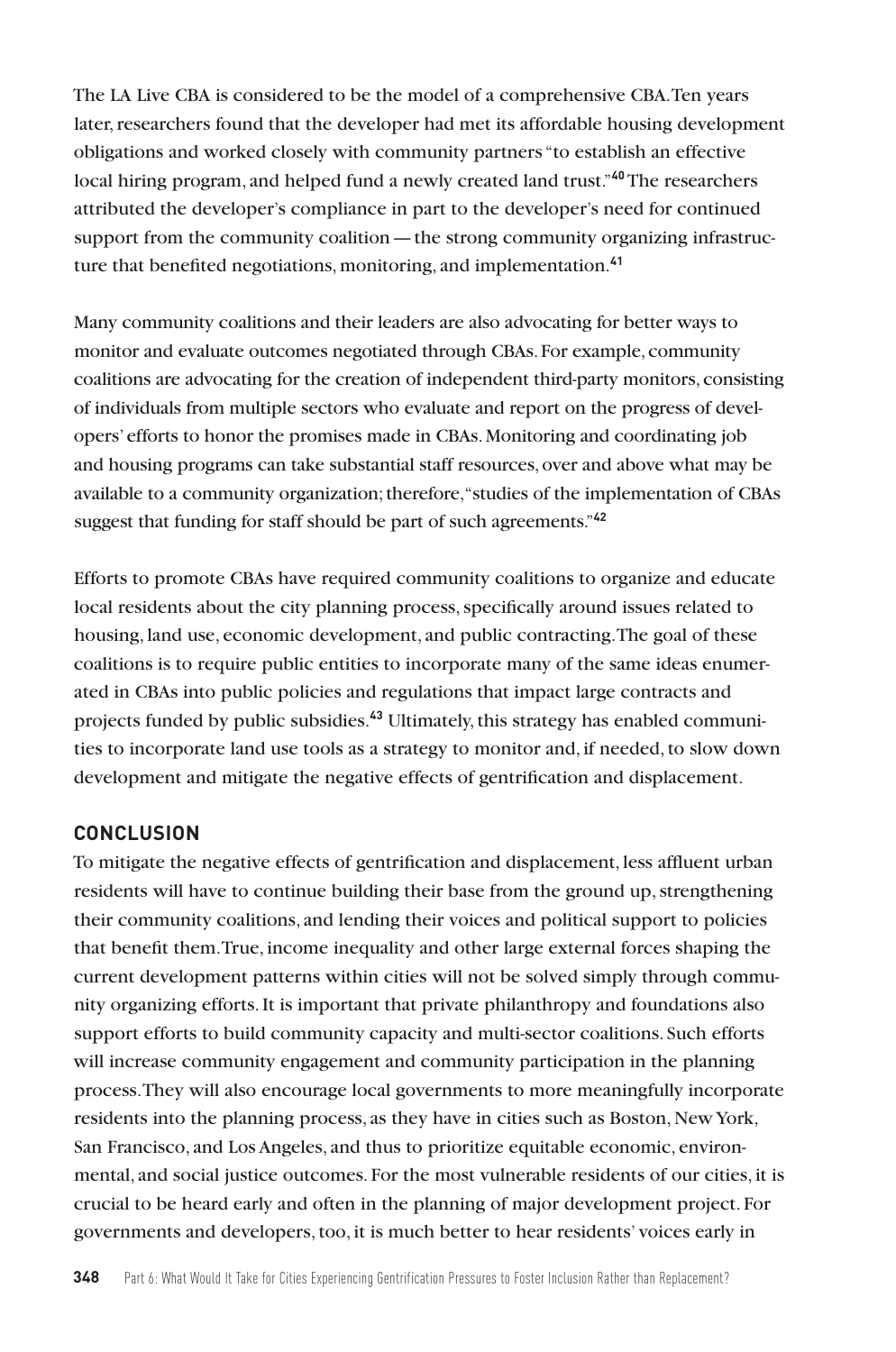The LA Live CBA is considered to be the model of a comprehensive CBA. Ten years later, researchers found that the developer had met its affordable housing development obligations and worked closely with community partners "to establish an effective local hiring program, and helped fund a newly created land trust."**<sup>40</sup>**The researchers attributed the developer's compliance in part to the developer's need for continued support from the community coalition—the strong community organizing infrastructure that benefited negotiations, monitoring, and implementation.**<sup>41</sup>**

Many community coalitions and their leaders are also advocating for better ways to monitor and evaluate outcomes negotiated through CBAs. For example, community coalitions are advocating for the creation of independent third-party monitors, consisting of individuals from multiple sectors who evaluate and report on the progress of developers' efforts to honor the promises made in CBAs. Monitoring and coordinating job and housing programs can take substantial staff resources, over and above what may be available to a community organization; therefore, "studies of the implementation of CBAs suggest that funding for staff should be part of such agreements."**<sup>42</sup>**

Efforts to promote CBAs have required community coalitions to organize and educate local residents about the city planning process, specifically around issues related to housing, land use, economic development, and public contracting. The goal of these coalitions is to require public entities to incorporate many of the same ideas enumerated in CBAs into public policies and regulations that impact large contracts and projects funded by public subsidies.**43** Ultimately, this strategy has enabled communities to incorporate land use tools as a strategy to monitor and, if needed, to slow down development and mitigate the negative effects of gentrification and displacement.

## **CONCLUSION**

To mitigate the negative effects of gentrification and displacement, less affluent urban residents will have to continue building their base from the ground up, strengthening their community coalitions, and lending their voices and political support to policies that benefit them. True, income inequality and other large external forces shaping the current development patterns within cities will not be solved simply through community organizing efforts. It is important that private philanthropy and foundations also support efforts to build community capacity and multi-sector coalitions. Such efforts will increase community engagement and community participation in the planning process. They will also encourage local governments to more meaningfully incorporate residents into the planning process, as they have in cities such as Boston, New York, San Francisco, and Los Angeles, and thus to prioritize equitable economic, environmental, and social justice outcomes. For the most vulnerable residents of our cities, it is crucial to be heard early and often in the planning of major development project. For governments and developers, too, it is much better to hear residents' voices early in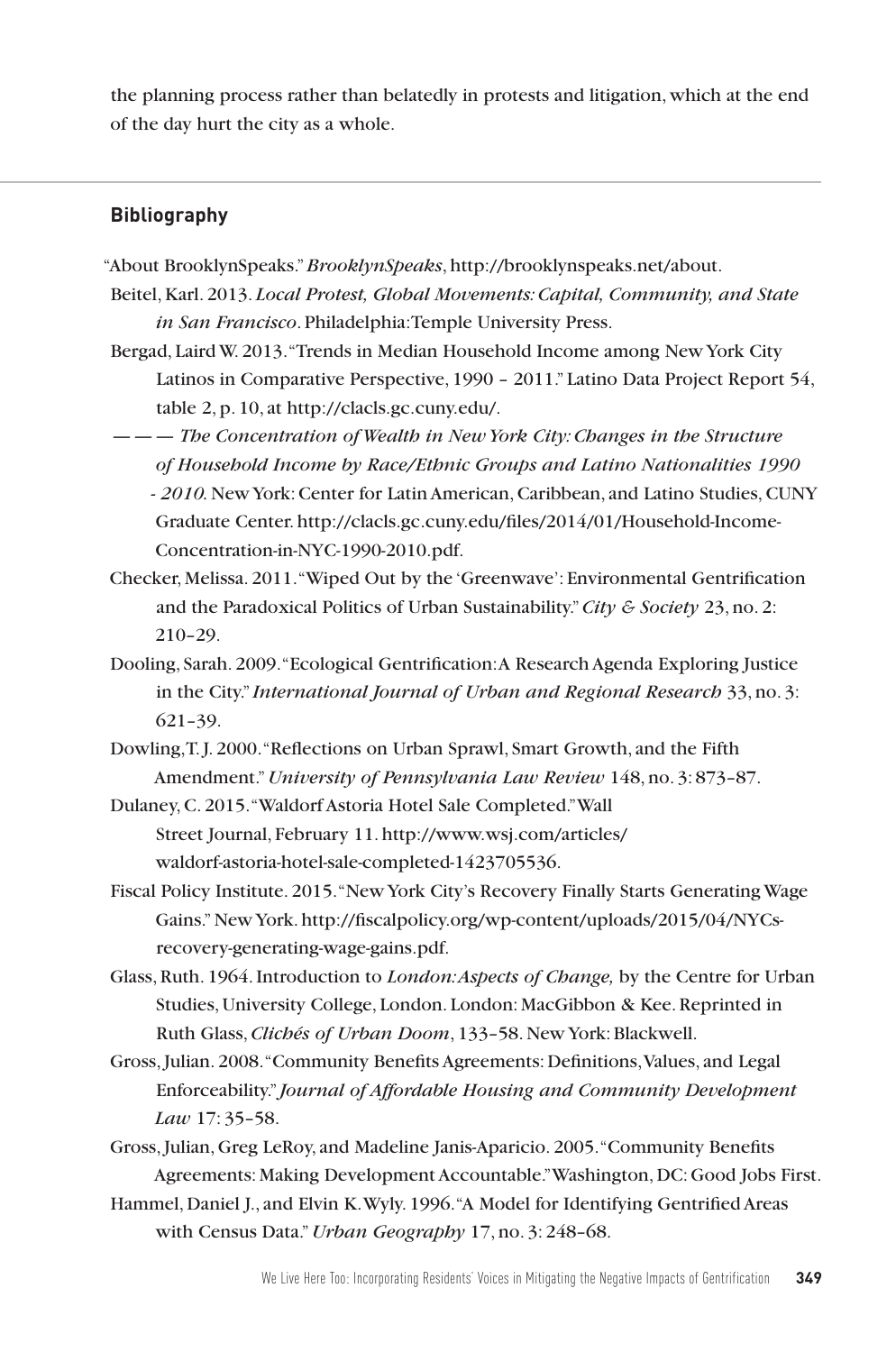the planning process rather than belatedly in protests and litigation, which at the end of the day hurt the city as a whole.

#### **Bibliography**

- "About BrooklynSpeaks." *BrooklynSpeaks*, http://brooklynspeaks.net/about.
- Beitel, Karl. 2013. *Local Protest, Global Movements: Capital, Community, and State in San Francisco*. Philadelphia: Temple University Press.
- Bergad, Laird W. 2013. "Trends in Median Household Income among New York City Latinos in Comparative Perspective, 1990 – 2011." Latino Data Project Report 54, table 2, p. 10, at http://clacls.gc.cuny.edu/.
- ——— *The Concentration of Wealth in New York City: Changes in the Structure of Household Income by Race/Ethnic Groups and Latino Nationalities 1990 - 2010.*New York: Center for Latin American, Caribbean, and Latino Studies, CUNY Graduate Center. http://clacls.gc.cuny.edu/files/2014/01/Household-Income-Concentration-in-NYC-1990-2010.pdf.
- Checker, Melissa. 2011. "Wiped Out by the 'Greenwave': Environmental Gentrification and the Paradoxical Politics of Urban Sustainability." *City & Society* 23, no. 2: 210–29.
- Dooling, Sarah. 2009. "Ecological Gentrification: A Research Agenda Exploring Justice in the City." *International Journal of Urban and Regional Research* 33, no. 3: 621–39.
- Dowling, T. J. 2000. "Reflections on Urban Sprawl, Smart Growth, and the Fifth Amendment." *University of Pennsylvania Law Review* 148, no. 3: 873–87.

Dulaney, C. 2015. "Waldorf Astoria Hotel Sale Completed."Wall Street Journal, February 11. http://www.wsj.com/articles/ waldorf-astoria-hotel-sale-completed-1423705536.

- Fiscal Policy Institute. 2015. "New York City's Recovery Finally Starts Generating Wage Gains." New York. http://fiscalpolicy.org/wp-content/uploads/2015/04/NYCsrecovery-generating-wage-gains.pdf.
- Glass, Ruth. 1964. Introduction to *London: Aspects of Change,* by the Centre for Urban Studies, University College, London. London: MacGibbon & Kee. Reprinted in Ruth Glass, *Clichés of Urban Doom*, 133–58. New York: Blackwell.
- Gross, Julian. 2008. "Community Benefits Agreements: Definitions, Values, and Legal Enforceability." *Journal of Affordable Housing and Community Development Law* 17: 35–58.

Gross, Julian, Greg LeRoy, and Madeline Janis-Aparicio. 2005. "Community Benefits Agreements: Making Development Accountable." Washington, DC: Good Jobs First.

Hammel, Daniel J., and Elvin K. Wyly. 1996. "A Model for Identifying Gentrified Areas with Census Data." *Urban Geography* 17, no. 3: 248–68.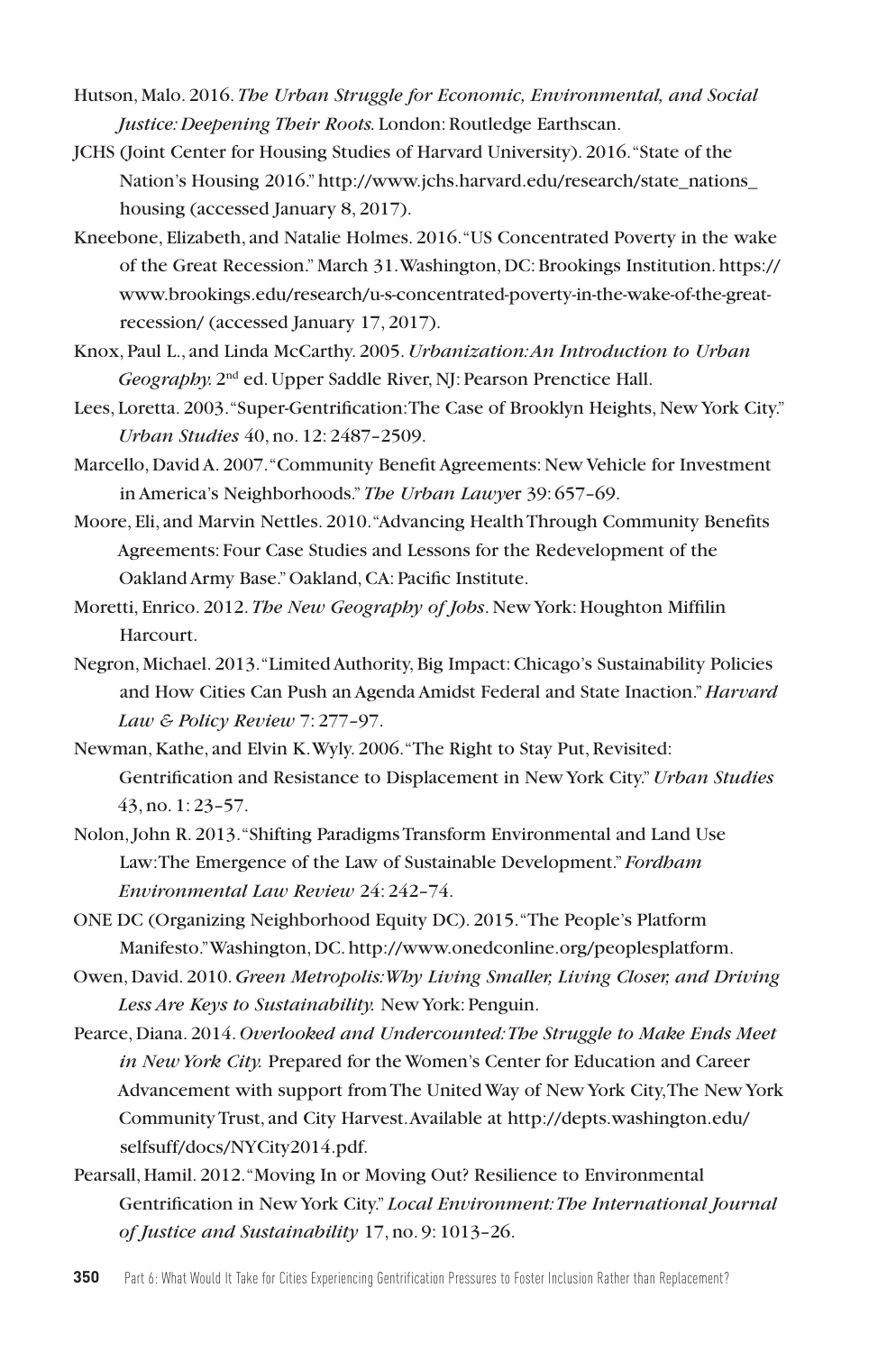- Hutson, Malo. 2016. *The Urban Struggle for Economic, Environmental, and Social Justice: Deepening Their Roots.* London: Routledge Earthscan.
- JCHS (Joint Center for Housing Studies of Harvard University). 2016. "State of the Nation's Housing 2016." http://www.jchs.harvard.edu/research/state\_nations\_ housing (accessed January 8, 2017).
- Kneebone, Elizabeth, and Natalie Holmes. 2016. "US Concentrated Poverty in the wake of the Great Recession." March 31. Washington, DC: Brookings Institution. https:// www.brookings.edu/research/u-s-concentrated-poverty-in-the-wake-of-the-greatrecession/ (accessed January 17, 2017).
- Knox, Paul L., and Linda McCarthy. 2005. *Urbanization: An Introduction to Urban Geography.* 2nd ed. Upper Saddle River, NJ: Pearson Prenctice Hall.
- Lees, Loretta. 2003. "Super-Gentrification: The Case of Brooklyn Heights, New York City." *Urban Studies* 40, no. 12: 2487–2509.
- Marcello, David A. 2007. "Community Benefit Agreements: New Vehicle for Investment in America's Neighborhoods." *The Urban Lawye*r 39: 657–69.
- Moore, Eli, and Marvin Nettles. 2010. "Advancing Health Through Community Benefits Agreements: Four Case Studies and Lessons for the Redevelopment of the Oakland Army Base." Oakland, CA: Pacific Institute.
- Moretti, Enrico. 2012. *The New Geography of Jobs*. New York: Houghton Miffilin Harcourt.
- Negron, Michael. 2013. "Limited Authority, Big Impact: Chicago's Sustainability Policies and How Cities Can Push an Agenda Amidst Federal and State Inaction." *Harvard Law & Policy Review* 7: 277–97.
- Newman, Kathe, and Elvin K. Wyly. 2006. "The Right to Stay Put, Revisited: Gentrification and Resistance to Displacement in New York City." *Urban Studies*  43, no. 1: 23–57.
- Nolon, John R. 2013. "Shifting Paradigms Transform Environmental and Land Use Law: The Emergence of the Law of Sustainable Development." *Fordham Environmental Law Review* 24: 242–74.
- ONE DC (Organizing Neighborhood Equity DC). 2015. "The People's Platform Manifesto." Washington, DC. http://www.onedconline.org/peoplesplatform.
- Owen, David. 2010. *Green Metropolis: Why Living Smaller, Living Closer, and Driving Less Are Keys to Sustainability.* New York: Penguin.
- Pearce, Diana. 2014. *Overlooked and Undercounted: The Struggle to Make Ends Meet in New York City.* Prepared for the Women's Center for Education and Career Advancement with support from The United Way of New York City, The New York Community Trust, and City Harvest. Available at http://depts.washington.edu/ selfsuff/docs/NYCity2014.pdf.
- Pearsall, Hamil. 2012. "Moving In or Moving Out? Resilience to Environmental Gentrification in New York City." *Local Environment: The International Journal of Justice and Sustainability* 17, no. 9: 1013–26.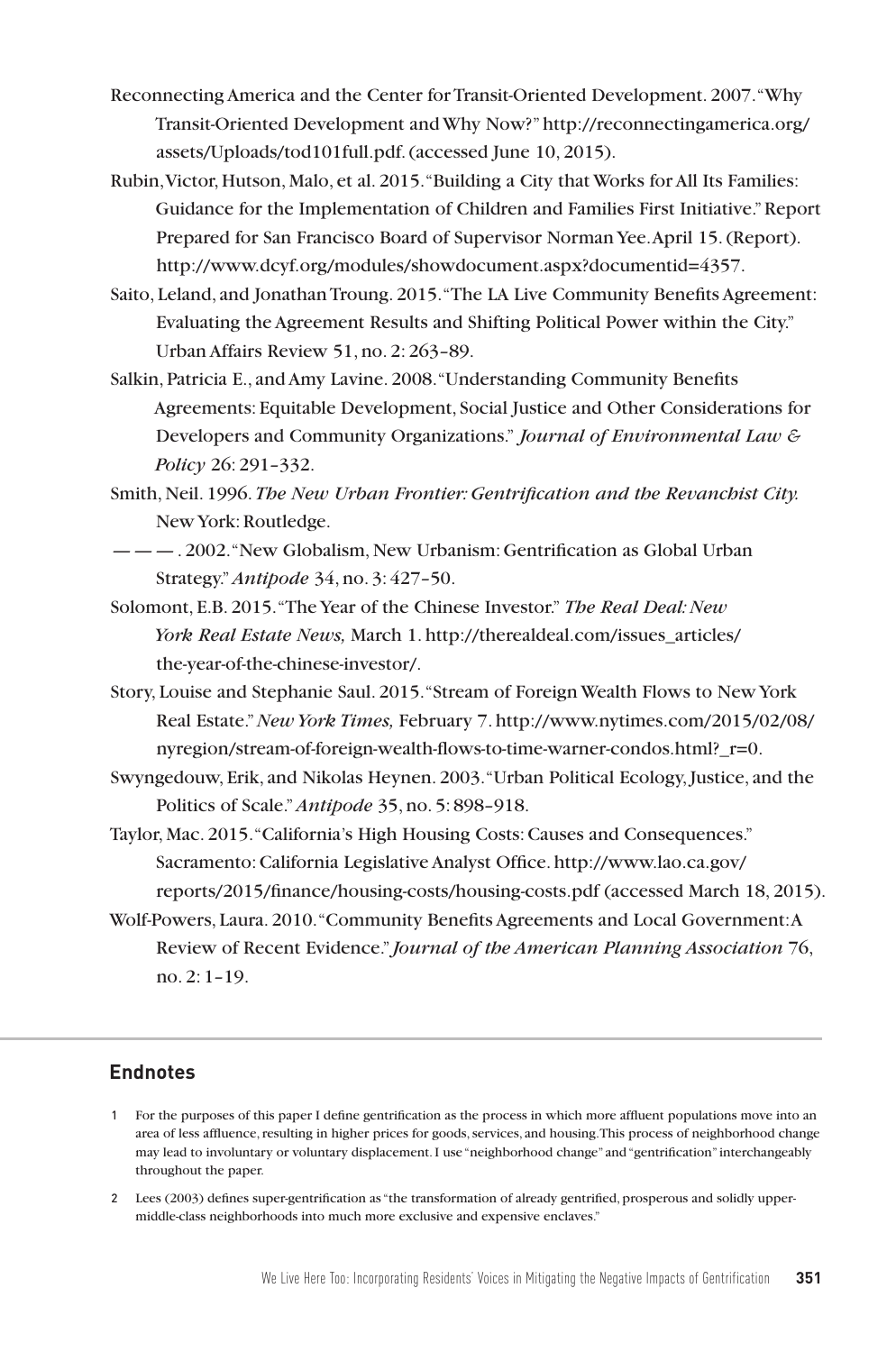- Reconnecting America and the Center for Transit-Oriented Development. 2007. "Why Transit-Oriented Development and Why Now?" http://reconnectingamerica.org/ assets/Uploads/tod101full.pdf. (accessed June 10, 2015).
- Rubin, Victor, Hutson, Malo, et al. 2015. "Building a City that Works for All Its Families: Guidance for the Implementation of Children and Families First Initiative." Report Prepared for San Francisco Board of Supervisor Norman Yee. April 15. (Report). http://www.dcyf.org/modules/showdocument.aspx?documentid=4357.
- Saito, Leland, and Jonathan Troung. 2015. "The LA Live Community Benefits Agreement: Evaluating the Agreement Results and Shifting Political Power within the City." Urban Affairs Review 51, no. 2: 263–89.
- Salkin, Patricia E., and Amy Lavine. 2008. "Understanding Community Benefits Agreements: Equitable Development, Social Justice and Other Considerations for Developers and Community Organizations." *Journal of Environmental Law & Policy* 26: 291–332.
- Smith, Neil. 1996. *The New Urban Frontier: Gentrification and the Revanchist City.*  New York: Routledge.
- ———. 2002. "New Globalism, New Urbanism: Gentrification as Global Urban Strategy." *Antipode* 34, no. 3: 427–50.
- Solomont, E.B. 2015. "The Year of the Chinese Investor." *The Real Deal: New York Real Estate News,* March 1. http://therealdeal.com/issues\_articles/ the-year-of-the-chinese-investor/.
- Story, Louise and Stephanie Saul. 2015. "Stream of Foreign Wealth Flows to New York Real Estate."*New York Times,* February 7. http://www.nytimes.com/2015/02/08/ nyregion/stream-of-foreign-wealth-flows-to-time-warner-condos.html? r=0.
- Swyngedouw, Erik, and Nikolas Heynen. 2003. "Urban Political Ecology, Justice, and the Politics of Scale." *Antipode* 35, no. 5: 898–918.
- Taylor, Mac. 2015. "California's High Housing Costs: Causes and Consequences." Sacramento: California Legislative Analyst Office. http://www.lao.ca.gov/ reports/2015/finance/housing-costs/housing-costs.pdf (accessed March 18, 2015).
- Wolf-Powers, Laura. 2010. "Community Benefits Agreements and Local Government: A Review of Recent Evidence." *Journal of the American Planning Association* 76, no. 2: 1–19.

#### **Endnotes**

- 1 For the purposes of this paper I define gentrification as the process in which more affluent populations move into an area of less affluence, resulting in higher prices for goods, services, and housing. This process of neighborhood change may lead to involuntary or voluntary displacement. I use "neighborhood change" and "gentrification" interchangeably throughout the paper.
- 2 Lees (2003) defines super-gentrification as "the transformation of already gentrified, prosperous and solidly uppermiddle-class neighborhoods into much more exclusive and expensive enclaves."